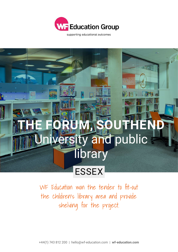

supporting educational outcomes



WF Education won the tender to fit-out the children's library area and provide shelving for the project.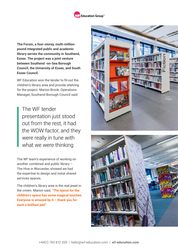

**The Forum, a four-storey, multi-millionpound integrated public and academic library serves the community in Southend, Essex. The project was a joint venture between Southend -on-Sea Borough Council, the University of Essex, and South Essex Council.**

WF Education won the tender to fit-out the children's library area and provide shelving for the project. Marion Brook, Operations Manager, Southend Borough Council said:

The WF tender presentation just stood out from the rest, it had the WOW factor, and they were really in tune with what we were thinking

The WF team's experience of working on another combined and public library – The Hive in Worcester, showed we had the expertise to design and instal shared services spaces.

The children's library area is the real jewel in the crown. Marion said, **"The layout for the children's space has some magical touches. Everyone is amazed by it – thank you for such a brilliant job!"**